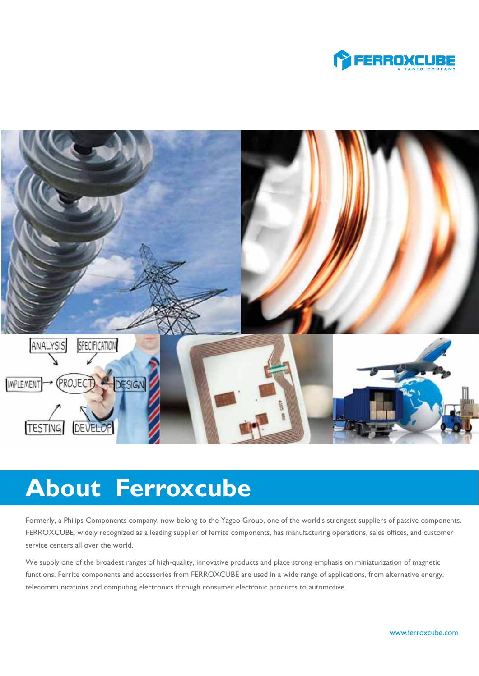



# **About Ferroxcube**

Formerly, a Philips Components company, now belong to the Yageo Group, one of the world's strongest suppliers of passive components. FERROXCUBE, widely recognized as a leading supplier of ferrite components, has manufacturing operations, sales offices, and customer service centers all over the world.

We supply one of the broadest ranges of high-quality, innovative products and place strong emphasis on miniaturization of magnetic functions. Ferrite components and accessories from FERROXCUBE are used in a wide range of applications, from alternative energy, telecommunications and computing electronics through consumer electronic products to automotive.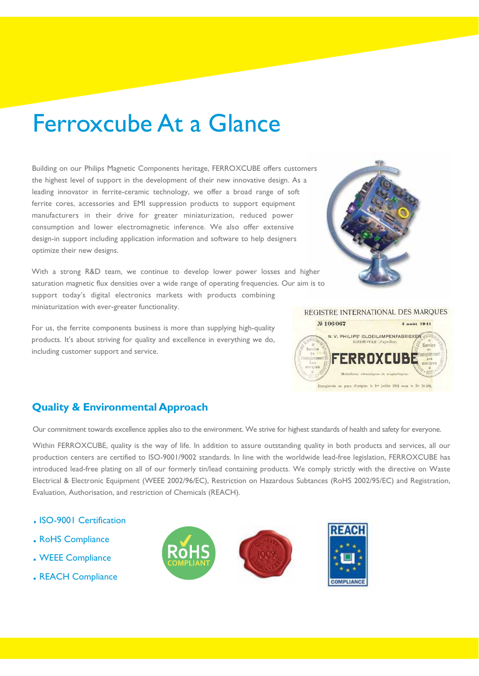# Ferroxcube At a Glance

Building on our Philips Magnetic Components heritage, FERROXCUBE offers customers the highest level of support in the development of their new innovative design. As a leading innovator in ferrite-ceramic technology, we offer a broad range of soft ferrite cores, accessories and EMI suppression products to support equipment manufacturers in their drive for greater miniaturization, reduced power consumption and lower electromagnetic inference. We also offer extensive design-in support including application information and software to help designers optimize their new designs.

With a strong R&D team, we continue to develop lower power losses and higher saturation magnetic flux densities over a wide range of operating frequencies. Our aim is to support today's digital electronics markets with products combining miniaturization with ever-greater functionality.

For us, the ferrite components business is more than supplying high-quality products. It's about striving for quality and excellence in everything we do, including customer support and service.

# **Quality & Environmental Approach**

Our commitment towards excellence applies also to the environment. We strive for highest standards of health and safety for everyone.

Within FERROXCUBE, quality is the way of life. In addition to assure outstanding quality in both products and services, all our production centers are certified to ISO-9001/9002 standards. In line with the worldwide lead-free legislation, FERROXCUBE has introduced lead-free plating on all of our formerly tin/lead containing products. We comply strictly with the directive on Waste Electrical & Electronic Equipment (WEEE 2002/96/EC), Restriction on Hazardous Subtances (RoHS 2002/95/EC) and Registration, Evaluation, Authorisation, and restriction of Chemicals (REACH).

- . ISO-9001 Certification
- . RoHS Compliance
- . WEEE Compliance
- . REACH Compliance









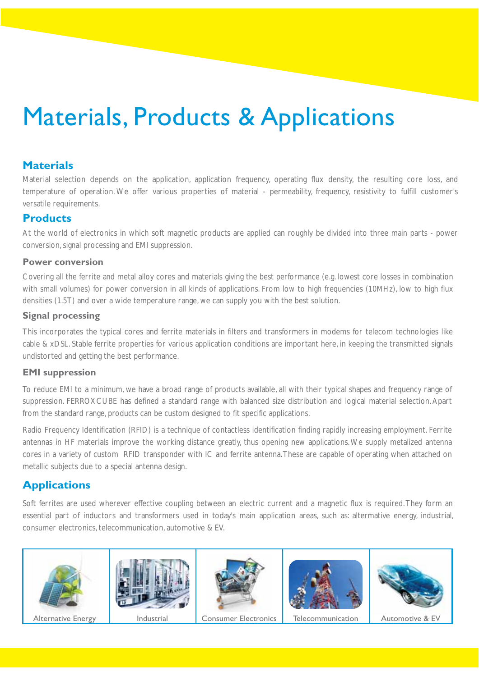# Materials, Products & Applications

# **Materials**

Material selection depends on the application, application frequency, operating flux density, the resulting core loss, and temperature of operation. We offer various properties of material - permeability, frequency, resistivity to fulfill customer's versatile requirements.

### **Products**

At the world of electronics in which soft magnetic products are applied can roughly be divided into three main parts - power conversion, signal processing and EMI suppression.

#### **Power conversion**

Covering all the ferrite and metal alloy cores and materials giving the best performance (e.g. lowest core losses in combination with small volumes) for power conversion in all kinds of applications. From low to high frequencies (10MHz), low to high flux densities (1.5T) and over a wide temperature range, we can supply you with the best solution.

#### **Signal processing**

This incorporates the typical cores and ferrite materials in filters and transformers in modems for telecom technologies like cable & xDSL. Stable ferrite properties for various application conditions are important here, in keeping the transmitted signals undistorted and getting the best performance.

#### **EMI suppression**

To reduce EMI to a minimum, we have a broad range of products available, all with their typical shapes and frequency range of suppression. FERROXCUBE has defined a standard range with balanced size distribution and logical material selection. Apart from the standard range, products can be custom designed to fit specific applications.

Radio Frequency Identification (RFID) is a technique of contactless identification finding rapidly increasing employment. Ferrite antennas in HF materials improve the working distance greatly, thus opening new applications. We supply metalized antenna cores in a variety of custom RFID transponder with IC and ferrite antenna. These are capable of operating when attached on metallic subjects due to a special antenna design.

# **Applications**

Soft ferrites are used wherever effective coupling between an electric current and a magnetic flux is required. They form an essential part of inductors and transformers used in today's main application areas, such as: altermative energy, industrial, consumer electronics, telecommunication, automotive & EV.











Alternative Energy | Industrial | Consumer Electronics | Telecommunication | Automotive & EV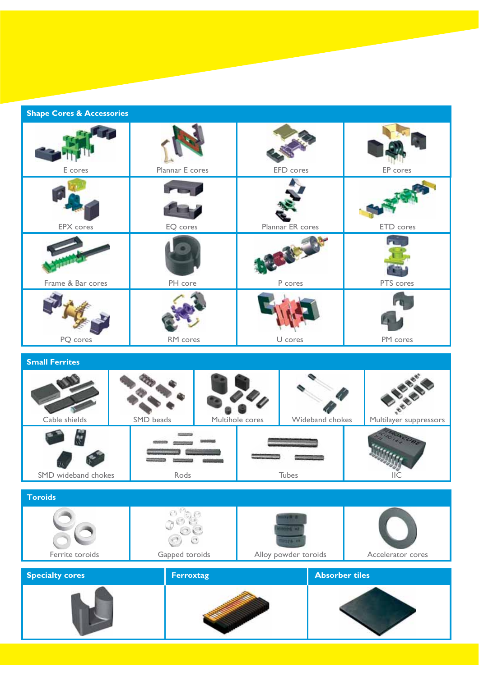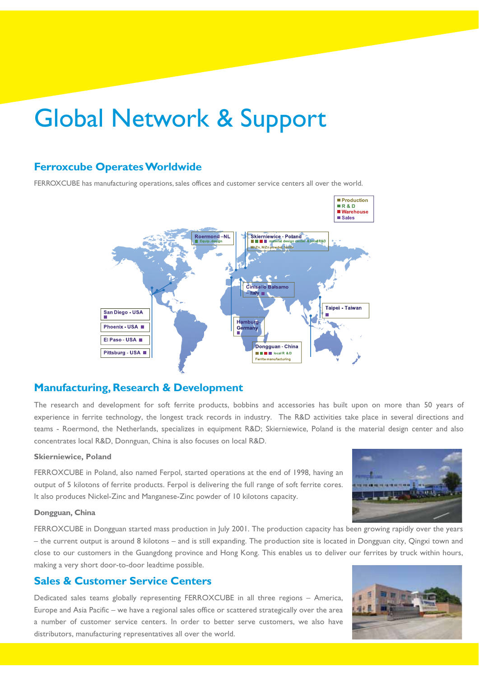# Global Network & Support

### **Ferroxcube Operates Worldwide**

FERROXCUBE has manufacturing operations, sales offices and customer service centers all over the world.



### **Manufacturing, Research & Development**

The research and development for soft ferrite products, bobbins and accessories has built upon on more than 50 years of experience in ferrite technology, the longest track records in industry. The R&D activities take place in several directions and teams - Roermond, the Netherlands, specializes in equipment R&D; Skierniewice, Poland is the material design center and also concentrates local R&D, Donnguan, China is also focuses on local R&D.

#### **Skierniewice, Poland**

FERROXCUBE in Poland, also named Ferpol, started operations at the end of 1998, having an output of 5 kilotons of ferrite products. Ferpol is delivering the full range of soft ferrite cores. It also produces Nickel-Zinc and Manganese-Zinc powder of 10 kilotons capacity.

#### **Dongguan, China**

FERROXCUBE in Dongguan started mass production in July 2001. The production capacity has been growing rapidly over the years – the current output is around 8 kilotons – and is still expanding. The production site is located in Dongguan city, Qingxi town and close to our customers in the Guangdong province and Hong Kong. This enables us to deliver our ferrites by truck within hours, making a very short door-to-door leadtime possible.

### **Sales & Customer Service Centers**

Dedicated sales teams globally representing FERROXCUBE in all three regions – America, Europe and Asia Pacific – we have a regional sales office or scattered strategically over the area a number of customer service centers. In order to better serve customers, we also have distributors, manufacturing representatives all over the world.